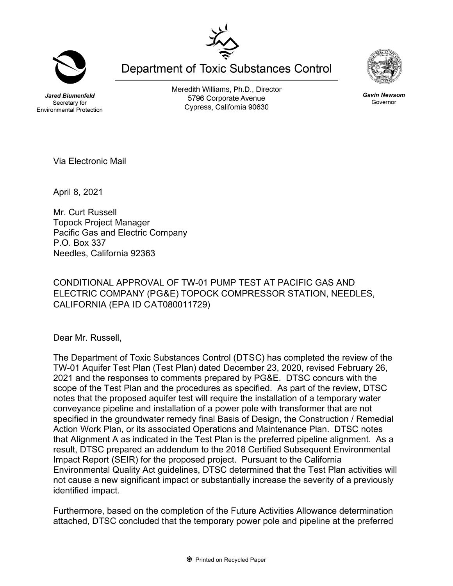**Jared Blumenfeld** Secretary for

**Environmental Protection** 

Meredith Williams, Ph.D., Director 5796 Corporate Avenue Cypress, California 90630

**Department of Toxic Substances Control** 

Via Electronic Mail

April 8, 2021

Mr. Curt Russell Topock Project Manager Pacific Gas and Electric Company P.O. Box 337 Needles, California 92363

CONDITIONAL APPROVAL OF TW-01 PUMP TEST AT PACIFIC GAS AND ELECTRIC COMPANY (PG&E) TOPOCK COMPRESSOR STATION, NEEDLES, CALIFORNIA (EPA ID C AT080011729)

Dear Mr. Russell,

The Department of Toxic Substances Control (DTSC) has completed the review of the TW-01 Aquifer Test Plan (Test Plan) dated December 23, 2020, revised February 26, 2021 and the responses to comments prepared by PG&E. DTSC concurs with the scope of the Test Plan and the procedures as specified. As part of the review, DTSC notes that the proposed aquifer test will require the installation of a temporary water conveyance pipeline and installation of a power pole with transformer that are not specified in the groundwater remedy final Basis of Design, the Construction / Remedial Action Work Plan, or its associated Operations and Maintenance Plan. DTSC notes that Alignment A as indicated in the Test Plan is the preferred pipeline alignment. As a result, DTSC prepared an addendum to the 2018 Certified Subsequent Environmental Impact Report (SEIR) for the proposed project. Pursuant to the California Environmental Quality Act guidelines, DTSC determined that the Test Plan activities will not cause a new significant impact or substantially increase the severity of a previously identified impact.

Furthermore, based on the completion of the Future Activities Allowance determination attached, DTSC concluded that the temporary power pole and pipeline at the preferred





Gavin Newsom Governor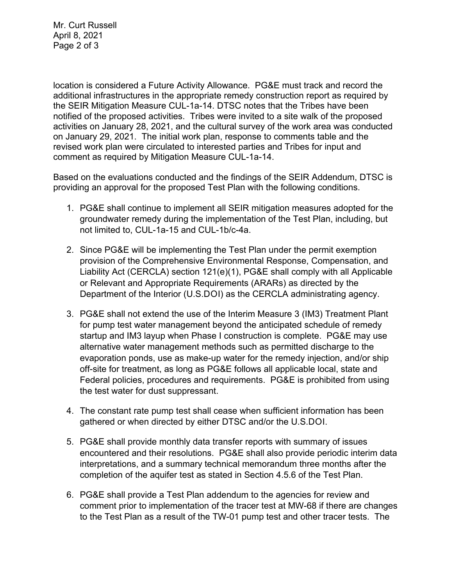Mr. Curt Russell April 8, 2021 Page 2 of 3

location is considered a Future Activity Allowance. PG&E must track and record the additional infrastructures in the appropriate remedy construction report as required by the SEIR Mitigation Measure CUL-1a-14. DTSC notes that the Tribes have been notified of the proposed activities. Tribes were invited to a site walk of the proposed activities on January 28, 2021, and the cultural survey of the work area was conducted on January 29, 2021. The initial work plan, response to comments table and the revised work plan were circulated to interested parties and Tribes for input and comment as required by Mitigation Measure CUL-1a-14.

Based on the evaluations conducted and the findings of the SEIR Addendum, DTSC is providing an approval for the proposed Test Plan with the following conditions.

- 1. PG&E shall continue to implement all SEIR mitigation measures adopted for the groundwater remedy during the implementation of the Test Plan, including, but not limited to, CUL-1a-15 and CUL-1b/c-4a.
- 2. Since PG&E will be implementing the Test Plan under the permit exemption provision of the Comprehensive Environmental Response, Compensation, and Liability Act (CERCLA) section 121(e)(1), PG&E shall comply with all Applicable or Relevant and Appropriate Requirements (ARARs) as directed by the Department of the Interior (U.S.DOI) as the CERCLA administrating agency.
- 3. PG&E shall not extend the use of the Interim Measure 3 (IM3) Treatment Plant for pump test water management beyond the anticipated schedule of remedy startup and IM3 layup when Phase I construction is complete. PG&E may use alternative water management methods such as permitted discharge to the evaporation ponds, use as make-up water for the remedy injection, and/or ship off-site for treatment, as long as PG&E follows all applicable local, state and Federal policies, procedures and requirements. PG&E is prohibited from using the test water for dust suppressant.
- 4. The constant rate pump test shall cease when sufficient information has been gathered or when directed by either DTSC and/or the U.S.DOI.
- 5. PG&E shall provide monthly data transfer reports with summary of issues encountered and their resolutions. PG&E shall also provide periodic interim data interpretations, and a summary technical memorandum three months after the completion of the aquifer test as stated in Section 4.5.6 of the Test Plan.
- 6. PG&E shall provide a Test Plan addendum to the agencies for review and comment prior to implementation of the tracer test at MW-68 if there are changes to the Test Plan as a result of the TW-01 pump test and other tracer tests. The